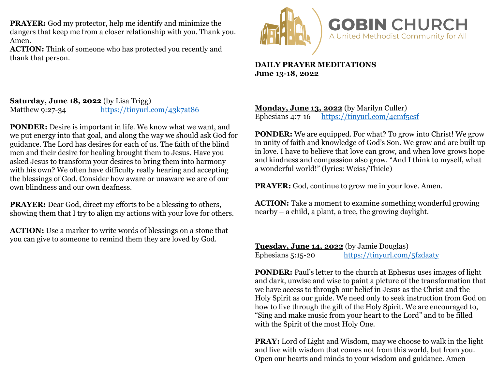**PRAYER:** God my protector, help me identify and minimize the dangers that keep me from a closer relationship with you. Thank you. Amen.

**ACTION:** Think of someone who has protected you recently and thank that person.



## **DAILY PRAYER MEDITATIONS June 13-18, 2022**

**Saturday, June 18, 2022** (by Lisa Trigg) Matthew 9:27-34 <https://tinyurl.com/43k7at86>

**PONDER:** Desire is important in life. We know what we want, and we put energy into that goal, and along the way we should ask God for guidance. The Lord has desires for each of us. The faith of the blind men and their desire for healing brought them to Jesus. Have you asked Jesus to transform your desires to bring them into harmony with his own? We often have difficulty really hearing and accepting the blessings of God. Consider how aware or unaware we are of our own blindness and our own deafness.

**PRAYER:** Dear God, direct my efforts to be a blessing to others, showing them that I try to align my actions with your love for others.

**ACTION:** Use a marker to write words of blessings on a stone that you can give to someone to remind them they are loved by God.

**Monday, June 13, 2022** (by Marilyn Culler)<br>Ephesians 4:7-16 https://tinyurl.com/4cmf <https://tinyurl.com/4cmf5esf>

**PONDER:** We are equipped. For what? To grow into Christ! We grow in unity of faith and knowledge of God's Son. We grow and are built up in love. I have to believe that love can grow, and when love grows hope and kindness and compassion also grow. "And I think to myself, what a wonderful world!" (lyrics: Weiss/Thiele)

**PRAYER:** God, continue to grow me in your love. Amen.

**ACTION:** Take a moment to examine something wonderful growing nearby – a child, a plant, a tree, the growing daylight.

**Tuesday, June 14, 2022** (by Jamie Douglas) Ephesians 5:15-20 <https://tinyurl.com/5fzdaaty>

**PONDER:** Paul's letter to the church at Ephesus uses images of light and dark, unwise and wise to paint a picture of the transformation that we have access to through our belief in Jesus as the Christ and the Holy Spirit as our guide. We need only to seek instruction from God on how to live through the gift of the Holy Spirit. We are encouraged to, "Sing and make music from your heart to the Lord" and to be filled with the Spirit of the most Holy One.

**PRAY:** Lord of Light and Wisdom, may we choose to walk in the light and live with wisdom that comes not from this world, but from you. Open our hearts and minds to your wisdom and guidance. Amen